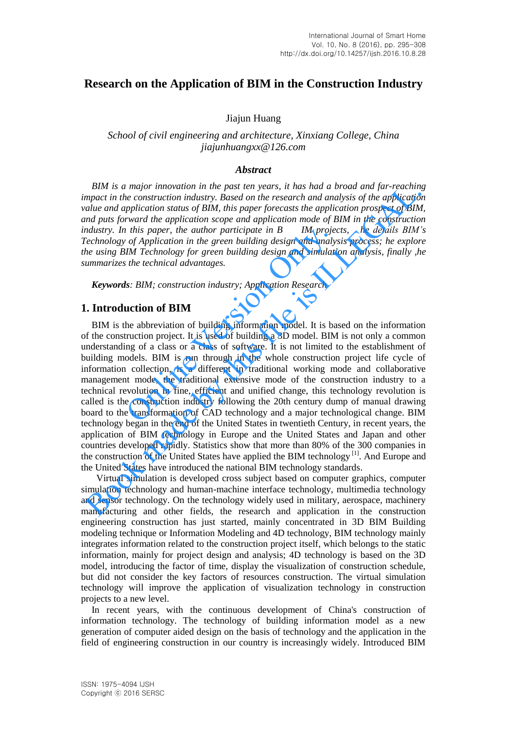# **Research on the Application of BIM in the Construction Industry**

Jiajun Huang

*School of civil engineering and architecture, Xinxiang College, China jiajunhuangxx@126.com* 

### *Abstract*

*BIM is a major innovation in the past ten years, it has had a broad and far-reaching impact in the construction industry. Based on the research and analysis of the application value and application status of BIM, this paper forecasts the application prospect of BIM, and puts forward the application scope and application mode of BIM in the construction industry. In this paper, the author participate in B IM projects, he details BIM's Technology of Application in the green building design and analysis process; he explore the using BIM Technology for green building design and simulation analysis, finally ,he summarizes the technical advantages.* 

*Keywords: BIM; construction industry; Application Research* 

### **1. Introduction of BIM**

BIM is the abbreviation of building information model. It is based on the information of the construction project. It is used of building a 3D model. BIM is not only a common understanding of a class or a class of software. It is not limited to the establishment of building models. BIM is run through in the whole construction project life cycle of information collection, is a different in traditional working mode and collaborative management mode, the traditional extensive mode of the construction industry to a technical revolution in fine, efficient and unified change, this technology revolution is called is the construction industry following the 20th century dump of manual drawing board to the transformation of CAD technology and a major technological change. BIM technology began in the end of the United States in twentieth Century, in recent years, the application of BIM technology in Europe and the United States and Japan and other countries developed rapidly. Statistics show that more than 80% of the 300 companies in the construction of the United States have applied the BIM technology [1]. And Europe and the United States have introduced the national BIM technology standards. This paper, the author participate in  $B$  IM projet of Application in the green building design and analy IM Technology for green building design and simulati the technical advantages.<br>
Se: BIM; construction industry; App BlM is a mayor unnovator in the past len years, it has had a broad and  $\mu$  reaction,<br>mpact in the construction industry. Based on the research and analysis of the application<br>calue and application status of BIM, this pap

 Virtual simulation is developed cross subject based on computer graphics, computer simulation technology and human-machine interface technology, multimedia technology and sensor technology. On the technology widely used in military, aerospace, machinery manufacturing and other fields, the research and application in the construction engineering construction has just started, mainly concentrated in 3D BIM Building modeling technique or Information Modeling and 4D technology, BIM technology mainly integrates information related to the construction project itself, which belongs to the static information, mainly for project design and analysis; 4D technology is based on the 3D model, introducing the factor of time, display the visualization of construction schedule, but did not consider the key factors of resources construction. The virtual simulation technology will improve the application of visualization technology in construction projects to a new level.

In recent years, with the continuous development of China's construction of information technology. The technology of building information model as a new generation of computer aided design on the basis of technology and the application in the field of engineering construction in our country is increasingly widely. Introduced BIM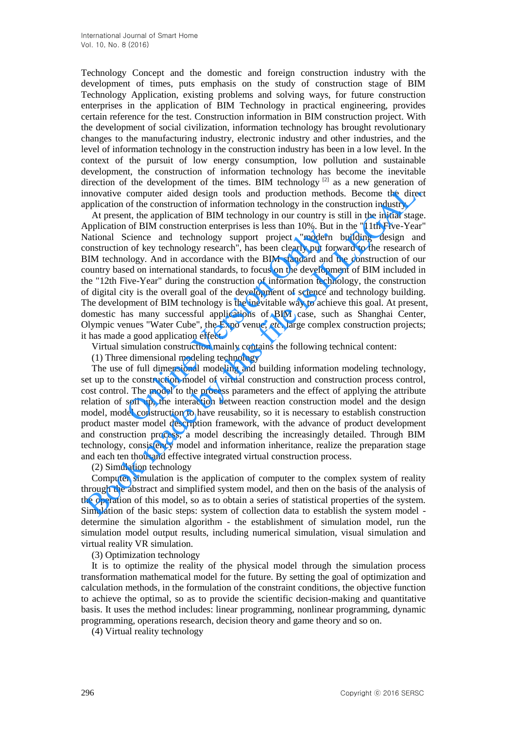Technology Concept and the domestic and foreign construction industry with the development of times, puts emphasis on the study of construction stage of BIM Technology Application, existing problems and solving ways, for future construction enterprises in the application of BIM Technology in practical engineering, provides certain reference for the test. Construction information in BIM construction project. With the development of social civilization, information technology has brought revolutionary changes to the manufacturing industry, electronic industry and other industries, and the level of information technology in the construction industry has been in a low level. In the context of the pursuit of low energy consumption, low pollution and sustainable development, the construction of information technology has become the inevitable direction of the development of the times. BIM technology  $[2]$  as a new generation of innovative computer aided design tools and production methods. Become the direct application of the construction of information technology in the construction industry.

At present, the application of BIM technology in our country is still in the initial stage. Application of BIM construction enterprises is less than 10%. But in the "11th Five-Year" National Science and technology support project "modern building design and construction of key technology research", has been clearly put forward to the research of BIM technology. And in accordance with the BIM standard and the construction of our country based on international standards, to focus on the development of BIM included in the "12th Five-Year" during the construction of information technology, the construction of digital city is the overall goal of the development of science and technology building. The development of BIM technology is the inevitable way to achieve this goal. At present, domestic has many successful applications of BIM case, such as Shanghai Center, Olympic venues "Water Cube", the Expo venue, *etc*. large complex construction projects; it has made a good application effect. From Control and technology support project "modern<br>cicine and technology support project "modern<br>in of key technology research", has been clearly put for<br>blogy. And in accordance with the BIM standard and is<br>ed on interna measure of enotation of information and enotation prediction and the base and the direction of the content of information of the content of information of the content of the content of the content of the content of the con

Virtual simulation construction mainly contains the following technical content:

(1) Three dimensional modeling technology

The use of full dimensional modeling and building information modeling technology, set up to the construction model of virtual construction and construction process control, cost control. The model to the process parameters and the effect of applying the attribute relation of soil up, the interaction between reaction construction model and the design model, model construction to have reusability, so it is necessary to establish construction product master model description framework, with the advance of product development and construction process, a model describing the increasingly detailed. Through BIM technology, consistency model and information inheritance, realize the preparation stage and each ten thousand effective integrated virtual construction process.

(2) Simulation technology

Computer simulation is the application of computer to the complex system of reality through the abstract and simplified system model, and then on the basis of the analysis of the operation of this model, so as to obtain a series of statistical properties of the system. Simulation of the basic steps: system of collection data to establish the system model determine the simulation algorithm - the establishment of simulation model, run the simulation model output results, including numerical simulation, visual simulation and virtual reality VR simulation.

(3) Optimization technology

It is to optimize the reality of the physical model through the simulation process transformation mathematical model for the future. By setting the goal of optimization and calculation methods, in the formulation of the constraint conditions, the objective function to achieve the optimal, so as to provide the scientific decision-making and quantitative basis. It uses the method includes: linear programming, nonlinear programming, dynamic programming, operations research, decision theory and game theory and so on.

(4) Virtual reality technology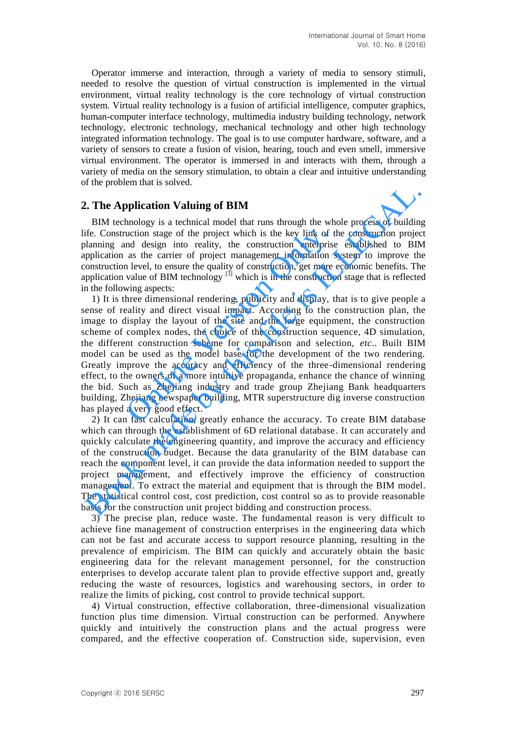Operator immerse and interaction, through a variety of media to sensory stimuli, needed to resolve the question of virtual construction is implemented in the virtual environment, virtual reality technology is the core technology of virtual construction system. Virtual reality technology is a fusion of artificial intelligence, computer graphics, human-computer interface technology, multimedia industry building technology, network technology, electronic technology, mechanical technology and other high technology integrated information technology. The goal is to use computer hardware, software, and a variety of sensors to create a fusion of vision, hearing, touch and even smell, immersive virtual environment. The operator is immersed in and interacts with them, through a variety of media on the sensory stimulation, to obtain a clear and intuitive understanding of the problem that is solved.

## **2. The Application Valuing of BIM**

BIM technology is a technical model that runs through the whole process of building life. Construction stage of the project which is the key link of the construction project planning and design into reality, the construction enterprise established to BIM application as the carrier of project management information system to improve the construction level, to ensure the quality of construction, get more economic benefits. The application value of BIM technology  $\left[3\right]$  which is in the construction stage that is reflected in the following aspects:

1) It is three dimensional rendering, publicity and display, that is to give people a sense of reality and direct visual impact. According to the construction plan, the image to display the layout of the site and the large equipment, the construction scheme of complex nodes, the choice of the construction sequence, 4D simulation, the different construction scheme for comparison and selection, *etc*.. Built BIM model can be used as the model base for the development of the two rendering. Greatly improve the accuracy and efficiency of the three-dimensional rendering effect, to the owners of a more intuitive propaganda, enhance the chance of winning the bid. Such as Zhejiang industry and trade group Zhejiang Bank headquarters building, Zhejiang newspaper building, MTR superstructure dig inverse construction has played a very good effect. uction stage of the project which is the key link of th<br>nd design into reality, the construction enterprise<br>as the carrier of project management information s<br>n level, to ensure the quality of construction, get more v<br>valu **E. The Application Valuing of BIM**<br>Book change and that runs through the whole process of buildin<br>IEC. Construction stage of the project which is the key link of the construction project<br>if  $E$ . Construction stage of the

2) It can fast calculation, greatly enhance the accuracy. To create BIM database which can through the establishment of 6D relational database. It can accurately and quickly calculate the engineering quantity, and improve the accuracy and efficiency of the construction budget. Because the data granularity of the BIM database can reach the component level, it can provide the data information needed to support the project management, and effectively improve the efficiency of construction management. To extract the material and equipment that is through the BIM model. The statistical control cost, cost prediction, cost control so as to provide reasonable basis for the construction unit project bidding and construction process.

3) The precise plan, reduce waste. The fundamental reason is very difficult to achieve fine management of construction enterprises in the engineering data which can not be fast and accurate access to support resource planning, resulting in the prevalence of empiricism. The BIM can quickly and accurately obtain the basic engineering data for the relevant management personnel, for the construction enterprises to develop accurate talent plan to provide effective support and, greatly reducing the waste of resources, logistics and warehousing sectors, in order to realize the limits of picking, cost control to provide technical support.

4) Virtual construction, effective collaboration, three-dimensional visualization function plus time dimension. Virtual construction can be performed. Anywhere quickly and intuitively the construction plans and the actual progress were compared, and the effective cooperation of. Construction side, supervision, even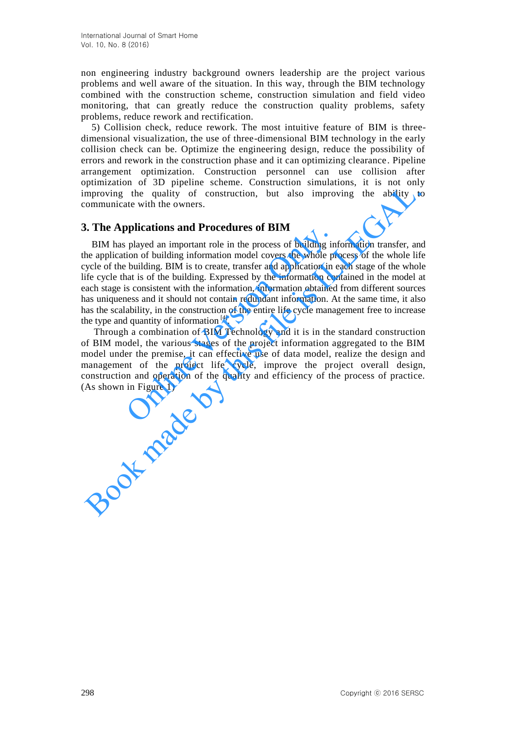non engineering industry background owners leadership are the project various problems and well aware of the situation. In this way, through the BIM technology combined with the construction scheme, construction simulation and field video monitoring, that can greatly reduce the construction quality problems, safety problems, reduce rework and rectification.

5) Collision check, reduce rework. The most intuitive feature of BIM is threedimensional visualization, the use of three-dimensional BIM technology in the early collision check can be. Optimize the engineering design, reduce the possibility of errors and rework in the construction phase and it can optimizing clearance. Pipeline arrangement optimization. Construction personnel can use collision after optimization of 3D pipeline scheme. Construction simulations, it is not only improving the quality of construction, but also improving the ability to communicate with the owners.

# **3. The Applications and Procedures of BIM**

BIM has played an important role in the process of building information transfer, and the application of building information model covers the whole process of the whole life cycle of the building. BIM is to create, transfer and application in each stage of the whole life cycle that is of the building. Expressed by the information contained in the model at each stage is consistent with the information, information obtained from different sources has uniqueness and it should not contain redundant information. At the same time, it also has the scalability, in the construction of the entire life cycle management free to increase the type and quantity of information  $^{[4]}$ . played an important role in the process of building in<br>played an important role in the process of building in<br>ion of building. BIM is to create, transfer and application in o<br>at is of the building. Expressed by the inform maniation is the proposition, but also improving the ability to<br>many the quality of construction, but also improving the ability to<br>communicate with the owners.<br>**3. The Applications and Procedures of BIM**<br>BIM has played an

 Through a combination of BIM Technology and it is in the standard construction of BIM model, the various stages of the project information aggregated to the BIM model under the premise, it can effective use of data model, realize the design and management of the project life cycle, improve the project overall design, construction and operation of the quality and efficiency of the process of practice. (As shown in Figure 1)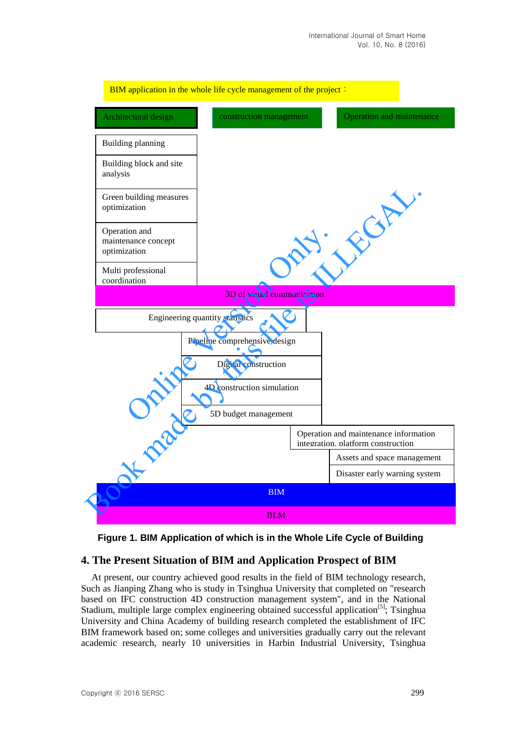



## **4. The Present Situation of BIM and Application Prospect of BIM**

At present, our country achieved good results in the field of BIM technology research, Such as Jianping Zhang who is study in Tsinghua University that completed on "research based on IFC construction 4D construction management system", and in the National Stadium, multiple large complex engineering obtained successful application<sup>[5]</sup>; Tsinghua University and China Academy of building research completed the establishment of IFC BIM framework based on; some colleges and universities gradually carry out the relevant academic research, nearly 10 universities in Harbin Industrial University, Tsinghua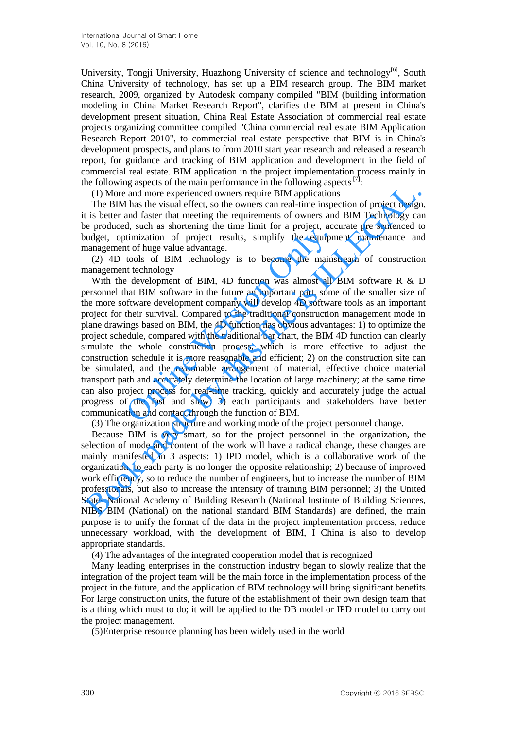University, Tongji University, Huazhong University of science and technology<sup>[6]</sup>, South China University of technology, has set up a BIM research group. The BIM market research, 2009, organized by Autodesk company compiled "BIM (building information modeling in China Market Research Report", clarifies the BIM at present in China's development present situation, China Real Estate Association of commercial real estate projects organizing committee compiled "China commercial real estate BIM Application Research Report 2010", to commercial real estate perspective that BIM is in China's development prospects, and plans to from 2010 start year research and released a research report, for guidance and tracking of BIM application and development in the field of commercial real estate. BIM application in the project implementation process mainly in the following aspects of the main performance in the following aspects  $[7]$ :

(1) More and more experienced owners require BIM applications

The BIM has the visual effect, so the owners can real-time inspection of project design, it is better and faster that meeting the requirements of owners and BIM Technology can be produced, such as shortening the time limit for a project, accurate pre sentenced to budget, optimization of project results, simplify the equipment maintenance and management of huge value advantage.

(2) 4D tools of BIM technology is to become the mainstream of construction management technology

With the development of BIM, 4D function was almost all BIM software R & D personnel that BIM software in the future an important part, some of the smaller size of the more software development company will develop 4D software tools as an important project for their survival. Compared to the traditional construction management mode in plane drawings based on BIM, the 4D function has obvious advantages: 1) to optimize the project schedule, compared with the traditional bar chart, the BIM 4D function can clearly simulate the whole construction process, which is more effective to adjust the construction schedule it is more reasonable and efficient; 2) on the construction site can be simulated, and the reasonable arrangement of material, effective choice material transport path and accurately determine the location of large machinery; at the same time can also project process for real-time tracking, quickly and accurately judge the actual progress of the fast and slow; 3) each participants and stakeholders have better communication and contact through the function of BIM. a, sact as shortcomed price the limit of a project, accent as shortcomed project results, simplify the equipm<br>to of huge value advantage.<br>tools of BIM technology is to become the mains<br>the development of BIM, 4D function w COLLEGAT THE BIM as the visual effect, so the owners are an early-time-time increasing in The BIM as the visual free, is the owners can relation in Spectra is better and faster that meeting the requirements of owners and B

(3) The organization structure and working mode of the project personnel change.

Because BIM is very smart, so for the project personnel in the organization, the selection of mode and content of the work will have a radical change, these changes are mainly manifested in 3 aspects: 1) IPD model, which is a collaborative work of the organization, to each party is no longer the opposite relationship; 2) because of improved work efficiency, so to reduce the number of engineers, but to increase the number of BIM professionals, but also to increase the intensity of training BIM personnel; 3) the United States National Academy of Building Research (National Institute of Building Sciences, NIBS BIM (National) on the national standard BIM Standards) are defined, the main purpose is to unify the format of the data in the project implementation process, reduce unnecessary workload, with the development of BIM, I China is also to develop appropriate standards.

(4) The advantages of the integrated cooperation model that is recognized

Many leading enterprises in the construction industry began to slowly realize that the integration of the project team will be the main force in the implementation process of the project in the future, and the application of BIM technology will bring significant benefits. For large construction units, the future of the establishment of their own design team that is a thing which must to do; it will be applied to the DB model or IPD model to carry out the project management.

(5)Enterprise resource planning has been widely used in the world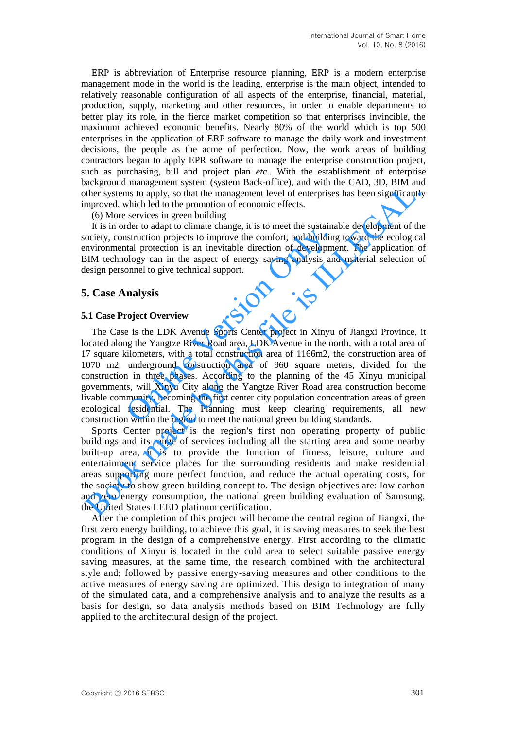ERP is abbreviation of Enterprise resource planning, ERP is a modern enterprise management mode in the world is the leading, enterprise is the main object, intended to relatively reasonable configuration of all aspects of the enterprise, financial, material, production, supply, marketing and other resources, in order to enable departments to better play its role, in the fierce market competition so that enterprises invincible, the maximum achieved economic benefits. Nearly 80% of the world which is top 500 enterprises in the application of ERP software to manage the daily work and investment decisions, the people as the acme of perfection. Now, the work areas of building contractors began to apply EPR software to manage the enterprise construction project, such as purchasing, bill and project plan *etc*.. With the establishment of enterprise background management system (system Back-office), and with the CAD, 3D, BIM and other systems to apply, so that the management level of enterprises has been significantly improved, which led to the promotion of economic effects.

#### (6) More services in green building

It is in order to adapt to climate change, it is to meet the sustainable development of the society, construction projects to improve the comfort, and building toward the ecological environmental protection is an inevitable direction of development. The application of BIM technology can in the aspect of energy saving analysis and material selection of design personnel to give technical support.

### **5. Case Analysis**

#### **5.1 Case Project Overview**

The Case is the LDK Avenue Sports Center project in Xinyu of Jiangxi Province, it located along the Yangtze River Road area, LDK Avenue in the north, with a total area of 17 square kilometers, with a total construction area of 1166m2, the construction area of 1070 m2, underground construction area of 960 square meters, divided for the construction in three phases. According to the planning of the 45 Xinyu municipal governments, will Xinyu City along the Yangtze River Road area construction become livable community, becoming the first center city population concentration areas of green ecological residential. The Planning must keep clearing requirements, all new construction within the region to meet the national green building standards. the community and the community and the community and building<br>instruction projects to improve the comfort, and building<br>that protection is an inevitable direction of developme<br>ology can in the aspect of energy saving anal Entra material and the proton to the proton and the state of the state of the proton and the proton of economic effects.<br>
(6) More services in green building<br>
(6) More services in green building<br>
It is in order to adapt to

Sports Center project is the region's first non operating property of public buildings and its range of services including all the starting area and some nearby built-up area, it is to provide the function of fitness, leisure, culture and entertainment service places for the surrounding residents and make residential areas supporting more perfect function, and reduce the actual operating costs, for the society to show green building concept to. The design objectives are: low carbon and zero energy consumption, the national green building evaluation of Samsung, the United States LEED platinum certification.

After the completion of this project will become the central region of Jiangxi, the first zero energy building, to achieve this goal, it is saving measures to seek the best program in the design of a comprehensive energy. First according to the climatic conditions of Xinyu is located in the cold area to select suitable passive energy saving measures, at the same time, the research combined with the architectural style and; followed by passive energy-saving measures and other conditions to the active measures of energy saving are optimized. This design to integration of many of the simulated data, and a comprehensive analysis and to analyze the results as a basis for design, so data analysis methods based on BIM Technology are fully applied to the architectural design of the project.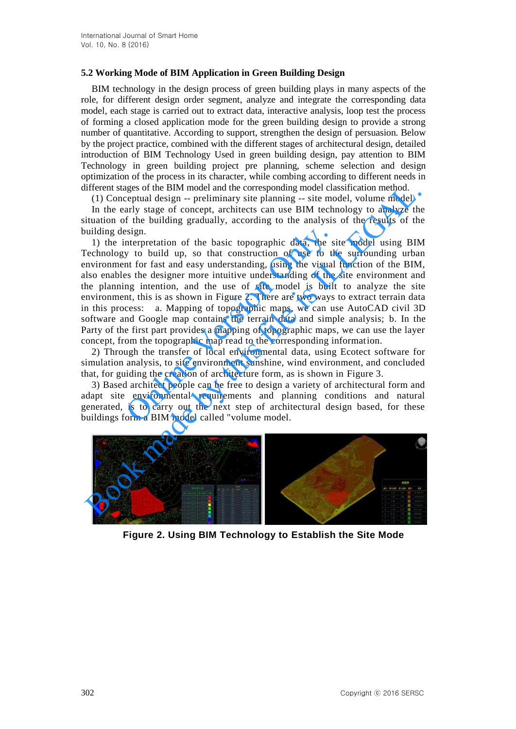## **5.2 Working Mode of BIM Application in Green Building Design**

BIM technology in the design process of green building plays in many aspects of the role, for different design order segment, analyze and integrate the corresponding data model, each stage is carried out to extract data, interactive analysis, loop test the process of forming a closed application mode for the green building design to provide a strong number of quantitative. According to support, strengthen the design of persuasion. Below by the project practice, combined with the different stages of architectural design, detailed introduction of BIM Technology Used in green building design, pay attention to BIM Technology in green building project pre planning, scheme selection and design optimization of the process in its character, while combing according to different needs in different stages of the BIM model and the corresponding model classification method.

(1) Conceptual design -- preliminary site planning -- site model, volume model

In the early stage of concept, architects can use BIM technology to analyze the situation of the building gradually, according to the analysis of the results of the building design.

1) the interpretation of the basic topographic data, the site model using BIM Technology to build up, so that construction of use to the surrounding urban environment for fast and easy understanding, using the visual function of the BIM, also enables the designer more intuitive understanding of the site environment and the planning intention, and the use of site model is built to analyze the site environment, this is as shown in Figure 2. There are two ways to extract terrain data in this process: a. Mapping of topographic maps, we can use AutoCAD civil 3D software and Google map contains the terrain data and simple analysis; b. In the Party of the first part provides a mapping of topographic maps, we can use the layer concept, from the topographic map read to the corresponding information. issign.<br>
Sign.<br>
Interpretation of the basic topographic data, the si<br>
y to build up, so that construction of use to the<br>
nt for fast and easy understanding, using the visual<br>
si the designer more intuitive understanding of ifferent stages of the BIM model and the corresponding model classification method.<br>
(1) Conceptual design -- preliminary site planning -- site model, volume model<br>
In the early stage of concept, architects can use BIM tec

2) Through the transfer of local environmental data, using Ecotect software for simulation analysis, to site environment sunshine, wind environment, and concluded that, for guiding the creation of architecture form, as is shown in Figure 3.

3) Based architect people can be free to design a variety of architectural form and adapt site environmental requirements and planning conditions and natural generated, is to carry out the next step of architectural design based, for these buildings form a BIM model called "volume model.



**Figure 2. Using BIM Technology to Establish the Site Mode**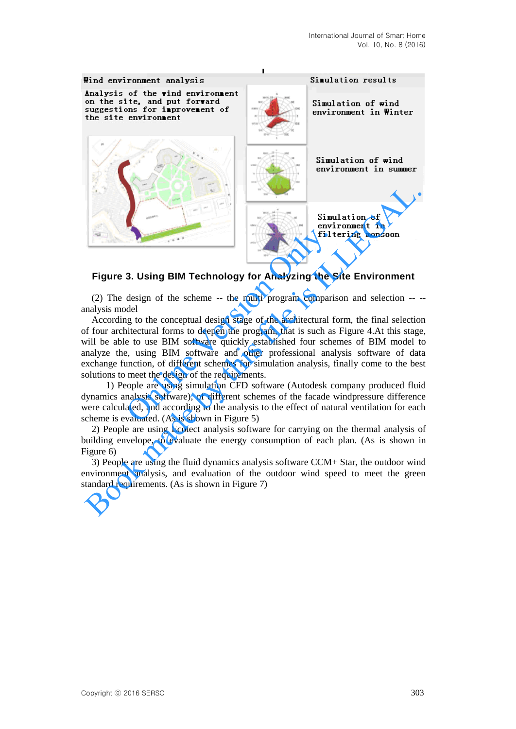

## **Figure 3. Using BIM Technology for Analyzing the Site Environment**

(2) The design of the scheme -- the multi program comparison and selection -- - analysis model

According to the conceptual design stage of the architectural form, the final selection of four architectural forms to deepen the program, that is such as Figure 4.At this stage, will be able to use BIM software quickly established four schemes of BIM model to analyze the, using BIM software and other professional analysis software of data exchange function, of different schemes for simulation analysis, finally come to the best solutions to meet the design of the requirements. **3. Using BIM Technology for Analyzing the S**<br>design of the scheme -- the multi program comparis<br>del<br>ig to the conceptual design stage of the architectural fo<br>intectural forms to deepen the program, that is such as<br>e to us

 1) People are using simulation CFD software (Autodesk company produced fluid dynamics analysis software), of different schemes of the facade windpressure difference were calculated, and according to the analysis to the effect of natural ventilation for each scheme is evaluated. (As is shown in Figure 5)

2) People are using Ecotect analysis software for carrying on the thermal analysis of building envelope, to evaluate the energy consumption of each plan. (As is shown in Figure 6)

3) People are using the fluid dynamics analysis software CCM+ Star, the outdoor wind environment analysis, and evaluation of the outdoor wind speed to meet the green standard requirements. (As is shown in Figure 7)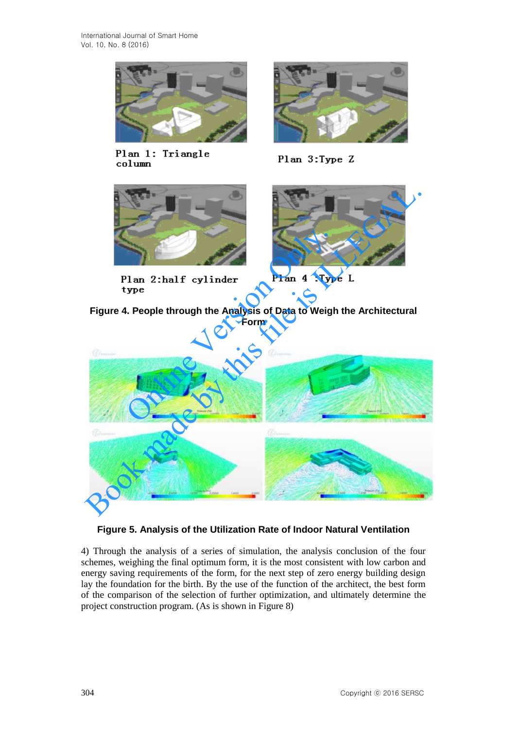

Plan 1: Triangle column



Plan 3:Type Z





**Figure 4. People through the Analysis of Data to Weigh the Architectural Form** 



# **Figure 5. Analysis of the Utilization Rate of Indoor Natural Ventilation**

4) Through the analysis of a series of simulation, the analysis conclusion of the four schemes, weighing the final optimum form, it is the most consistent with low carbon and energy saving requirements of the form, for the next step of zero energy building design lay the foundation for the birth. By the use of the function of the architect, the best form of the comparison of the selection of further optimization, and ultimately determine the project construction program. (As is shown in Figure 8)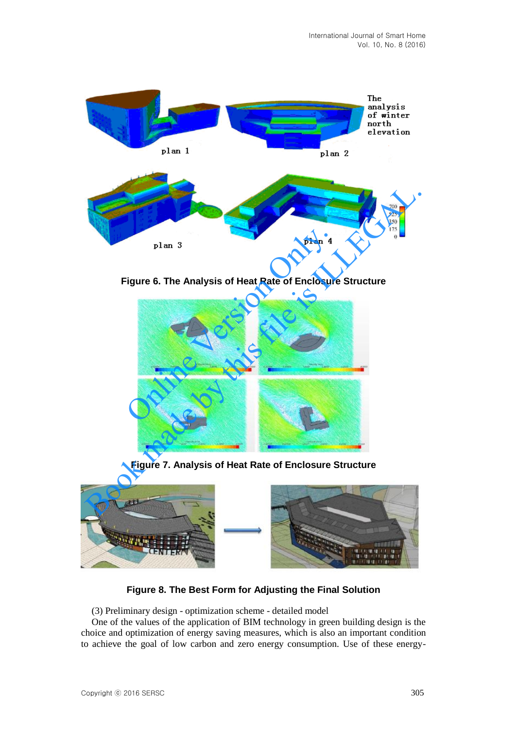

**Figure 6. The Analysis of Heat Rate of Enclosure Structure** 



**Figure 7. Analysis of Heat Rate of Enclosure Structure**



**Figure 8. The Best Form for Adjusting the Final Solution** 

(3) Preliminary design - optimization scheme - detailed model

One of the values of the application of BIM technology in green building design is the choice and optimization of energy saving measures, which is also an important condition to achieve the goal of low carbon and zero energy consumption. Use of these energy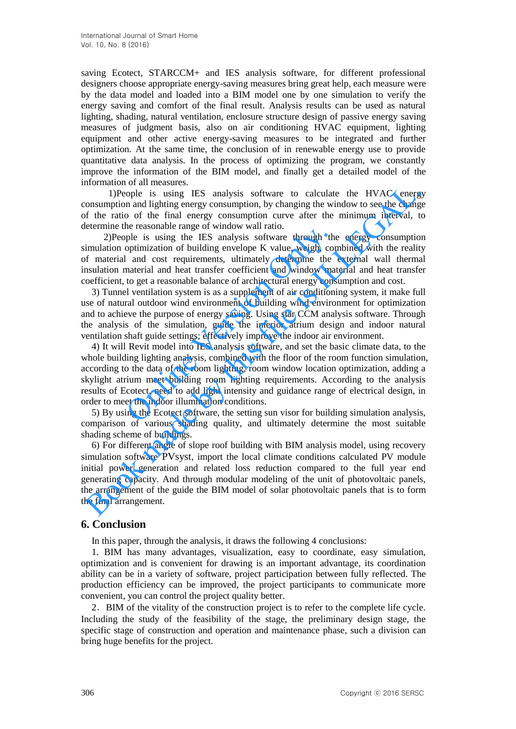saving Ecotect, STARCCM+ and IES analysis software, for different professional designers choose appropriate energy-saving measures bring great help, each measure were by the data model and loaded into a BIM model one by one simulation to verify the energy saving and comfort of the final result. Analysis results can be used as natural lighting, shading, natural ventilation, enclosure structure design of passive energy saving measures of judgment basis, also on air conditioning HVAC equipment, lighting equipment and other active energy-saving measures to be integrated and further optimization. At the same time, the conclusion of in renewable energy use to provide quantitative data analysis. In the process of optimizing the program, we constantly improve the information of the BIM model, and finally get a detailed model of the information of all measures.

 1)People is using IES analysis software to calculate the HVAC energy consumption and lighting energy consumption, by changing the window to see the change of the ratio of the final energy consumption curve after the minimum interval, to determine the reasonable range of window wall ratio.

 2)People is using the IES analysis software through the energy consumption simulation optimization of building envelope K value, weigh, combined with the reality of material and cost requirements, ultimately determine the external wall thermal insulation material and heat transfer coefficient and window material and heat transfer coefficient, to get a reasonable balance of architectural energy consumption and cost.

3) Tunnel ventilation system is as a supplement of air conditioning system, it make full use of natural outdoor wind environment of building wind environment for optimization and to achieve the purpose of energy saving. Using star CCM analysis software. Through the analysis of the simulation, guide the interior atrium design and indoor natural ventilation shaft guide settings; effectively improve the indoor air environment.

4) It will Revit model into IES analysis software, and set the basic climate data, to the whole building lighting analysis, combined with the floor of the room function simulation, according to the data of the room lighting, room window location optimization, adding a skylight atrium meet building room lighting requirements. According to the analysis results of Ecotect, need to add light intensity and guidance range of electrical design, in order to meet the indoor illumination conditions. The is using the IES analysis software through the pel is using the IES analysis software through the optimization of building envelope K value, weigh, cordinal condition of building envelope K value, weigh, cordinal and c

5) By using the Ecotect software, the setting sun visor for building simulation analysis, comparison of various shading quality, and ultimately determine the most suitable shading scheme of buildings.

6) For different angle of slope roof building with BIM analysis model, using recovery simulation software PVsyst, import the local climate conditions calculated PV module initial power generation and related loss reduction compared to the full year end generating capacity. And through modular modeling of the unit of photovoltaic panels, the arrangement of the guide the BIM model of solar photovoltaic panels that is to form the final arrangement. Theople is using IES analysis software to calculate the HVAC energy<br>
IDFoole is using IES analysis software to calculate the HVAC energy<br>
consumption and lighting energy consumption, by changing the window to see the chang

## **6. Conclusion**

In this paper, through the analysis, it draws the following 4 conclusions:

1. BIM has many advantages, visualization, easy to coordinate, easy simulation, optimization and is convenient for drawing is an important advantage, its coordination ability can be in a variety of software, project participation between fully reflected. The production efficiency can be improved, the project participants to communicate more convenient, you can control the project quality better.

2.BIM of the vitality of the construction project is to refer to the complete life cycle. Including the study of the feasibility of the stage, the preliminary design stage, the specific stage of construction and operation and maintenance phase, such a division can bring huge benefits for the project.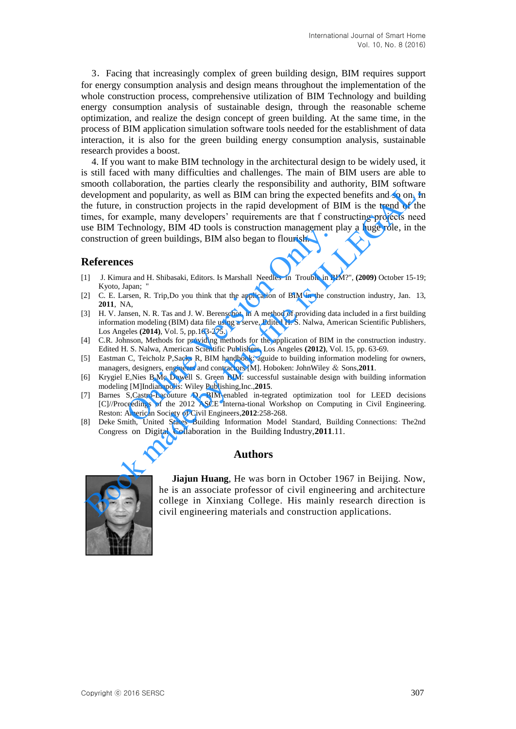3.Facing that increasingly complex of green building design, BIM requires support for energy consumption analysis and design means throughout the implementation of the whole construction process, comprehensive utilization of BIM Technology and building energy consumption analysis of sustainable design, through the reasonable scheme optimization, and realize the design concept of green building. At the same time, in the process of BIM application simulation software tools needed for the establishment of data interaction, it is also for the green building energy consumption analysis, sustainable research provides a boost.

4. If you want to make BIM technology in the architectural design to be widely used, it is still faced with many difficulties and challenges. The main of BIM users are able to smooth collaboration, the parties clearly the responsibility and authority, BIM software development and popularity, as well as BIM can bring the expected benefits and so on. In the future, in construction projects in the rapid development of BIM is the trend of the times, for example, many developers' requirements are that f constructing projects need use BIM Technology, BIM 4D tools is construction management play a huge role, in the construction of green buildings, BIM also began to flourish. mount contacts in the planet of the responsive and popularity, and a summary but the entire, in contraction projects in the rapid development and popularity, as well as BIM can bring the expected benefits and so on. It is

## **References**

- [1] J. Kimura and H. Shibasaki, Editors. Is Marshall Needles in Trouble in BIM?", **(2009)** October 15-19; Kyoto, Japan;
- [2] C. E. Larsen, R. Trip,Do you think that the application of BIM in the construction industry, Jan. 13, **2011**, NA,
- [3] H. V. Jansen, N. R. Tas and J. W. Berenschot. in A method of providing data included in a first building information modeling (BIM) data file using a serve, Edited H. S. Nalwa, American Scientific Publishers, Los Angeles **(2014)**, Vol. 5, pp.163-275. Example 1 and H. Shibasaki, Editors Is Construction Inanagement p<br>
of green buildings, BIM also began to flourish.<br>
es<br>
ra and H. Shibasaki, Editors. Is Marshall Needles in Trouble in Bl<br>
apan; "<br>
rsren, R. Trip,Do you thi
- [4] C.R. Johnson, Methods for providing methods for the application of BIM in the construction industry. Edited H. S. Nalwa, American Scientific Publishers, Los Angeles **(2012)**, Vol. 15, pp. 63-69.
- [5] Eastman C, Teicholz P,Sacks R, BIM handbook: aguide to building information modeling for owners, managers, designers, engineers and contractors [M]. Hoboken: JohnWiley & Sons,**2011**.
- [6] Krygiel E,Nies B,Mc Dowell S. Green BIM: successful sustainable design with building information modeling [M]Indianapolis: Wiley Publishing,Inc.,**2015**.
- [7] Barnes S,Castro-Lacouture D. BIM-enabled in-tegrated optimization tool for LEED decisions [C]//Proceedings of the 2012 ASCE Interna-tional Workshop on Computing in Civil Engineering. Reston: American Society of Civil Engineers,**2012**:258-268.
- [8] Deke Smith, United States Building Information Model Standard, Building Connections: The2nd Congress on Digital Collaboration in the Building Industry,**2011**.11.

### **Authors**



**Jiajun Huang**, He was born in October 1967 in Beijing. Now, he is an associate professor of civil engineering and architecture college in Xinxiang College. His mainly research direction is civil engineering materials and construction applications.